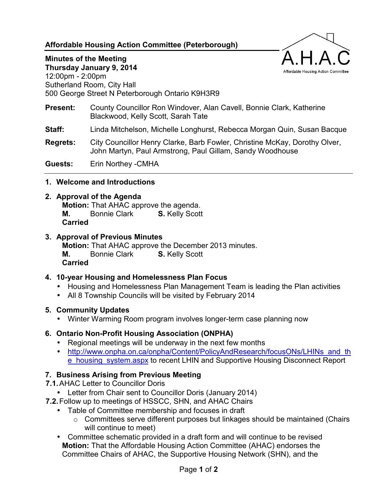# **Affordable Housing Action Committee (Peterborough)**



#### **Minutes of the Meeting**

**Thursday January 9, 2014**  12:00pm - 2:00pm Sutherland Room, City Hall 500 George Street N Peterborough Ontario K9H3R9

- **Present:** County Councillor Ron Windover, Alan Cavell, Bonnie Clark, Katherine Blackwood, Kelly Scott, Sarah Tate
- **Staff:** Linda Mitchelson, Michelle Longhurst, Rebecca Morgan Quin, Susan Bacque
- **Regrets:** City Councillor Henry Clarke, Barb Fowler, Christine McKay, Dorothy Olver, John Martyn, Paul Armstrong, Paul Gillam, Sandy Woodhouse

**Guests:** Erin Northey -CMHA

#### **1. Welcome and Introductions**

#### **2. Approval of the Agenda**

**Motion:** That AHAC approve the agenda. **M.** Bonnie Clark **S.** Kelly Scott **Carried**

#### **3. Approval of Previous Minutes**

**Motion:** That AHAC approve the December 2013 minutes.

**M.** Bonnie Clark **S.** Kelly Scott

**Carried**

## **4. 10-year Housing and Homelessness Plan Focus**

- Housing and Homelessness Plan Management Team is leading the Plan activities
- All 8 Township Councils will be visited by February 2014

## **5. Community Updates**

• Winter Warming Room program involves longer-term case planning now

## **6. Ontario Non-Profit Housing Association (ONPHA)**

- Regional meetings will be underway in the next few months
- http://www.onpha.on.ca/onpha/Content/PolicyAndResearch/focusONs/LHINs and th **e** housing system.aspx to recent LHIN and Supportive Housing Disconnect Report

## **7. Business Arising from Previous Meeting**

- **7.1.** AHAC Letter to Councillor Doris
	- Letter from Chair sent to Councillor Doris (January 2014)
- **7.2.** Follow up to meetings of HSSCC, SHN, and AHAC Chairs
	- Table of Committee membership and focuses in draft
		- o Committees serve different purposes but linkages should be maintained (Chairs will continue to meet)
	- Committee schematic provided in a draft form and will continue to be revised **Motion:** That the Affordable Housing Action Committee (AHAC) endorses the Committee Chairs of AHAC, the Supportive Housing Network (SHN), and the